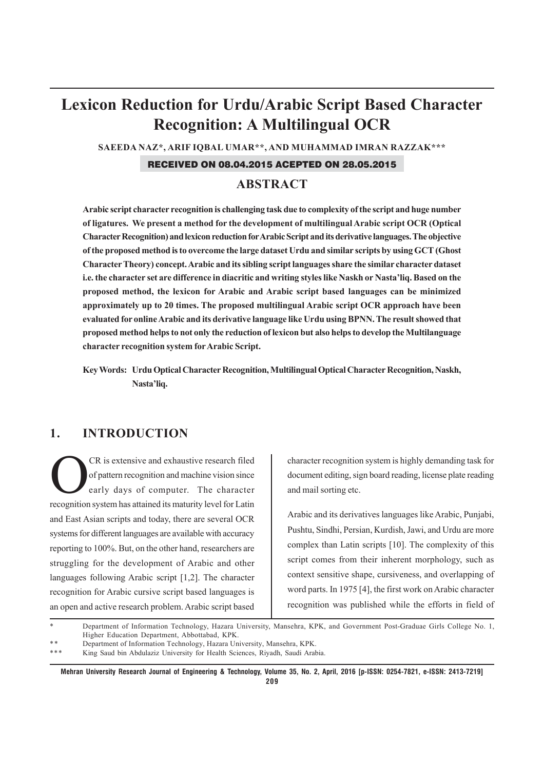# **Lexicon Reduction for Urdu/Arabic Script Based Character Recognition: A Multilingual OCR**

**SAEEDA NAZ\*, ARIF IQBAL UMAR\*\*, AND MUHAMMAD IMRAN RAZZAK\*\*\***

### RECEIVED ON 08.04.2015 ACEPTED ON 28.05.2015

## **ABSTRACT**

**Arabic script character recognition is challenging task due to complexity of the script and huge number of ligatures. We present a method for the development of multilingual Arabic script OCR (Optical Character Recognition) and lexicon reduction for Arabic Script and its derivative languages. The objective of the proposed method is to overcome the large dataset Urdu and similar scripts by using GCT (Ghost Character Theory) concept. Arabic and its sibling script languages share the similar character dataset i.e. the character set are difference in diacritic and writing styles like Naskh or Nasta'liq. Based on the proposed method, the lexicon for Arabic and Arabic script based languages can be minimized approximately up to 20 times. The proposed multilingual Arabic script OCR approach have been evaluated for online Arabic and its derivative language like Urdu using BPNN. The result showed that proposed method helps to not only the reduction of lexicon but also helps to develop the Multilanguage character recognition system for Arabic Script.**

**Key Words: Urdu Optical Character Recognition, Multilingual Optical Character Recognition, Naskh, Nasta'liq.**

# **1. INTRODUCTION**

CR is extensive and exhaustive research filed<br>of pattern recognition and machine vision since<br>early days of computer. The character of pattern recognition and machine vision since early days of computer. The character recognition system has attained its maturity level for Latin and East Asian scripts and today, there are several OCR systems for different languages are available with accuracy reporting to 100%. But, on the other hand, researchers are struggling for the development of Arabic and other languages following Arabic script [1,2]. The character recognition for Arabic cursive script based languages is an open and active research problem. Arabic script based

character recognition system is highly demanding task for document editing, sign board reading, license plate reading and mail sorting etc.

Arabic and its derivatives languages like Arabic, Punjabi, Pushtu, Sindhi, Persian, Kurdish, Jawi, and Urdu are more complex than Latin scripts [10]. The complexity of this script comes from their inherent morphology, such as context sensitive shape, cursiveness, and overlapping of word parts. In 1975 [4], the first work on Arabic character recognition was published while the efforts in field of

<sup>\*</sup> \* \* Department of Information Technology, Hazara University, Mansehra, KPK, and Government Post-Graduae Girls College No. 1, Higher Education Department, Abbottabad, KPK.

<sup>\*\*\*</sup> Department of Information Technology, Hazara University, Mansehra, KPK.

King Saud bin Abdulaziz University for Health Sciences, Riyadh, Saudi Arabia.

**Mehran University Research Journal of Engineering & Technology, Volume 35, No. 2, April, 2016 [p-ISSN: 0254-7821, e-ISSN: 2413-7219] 209**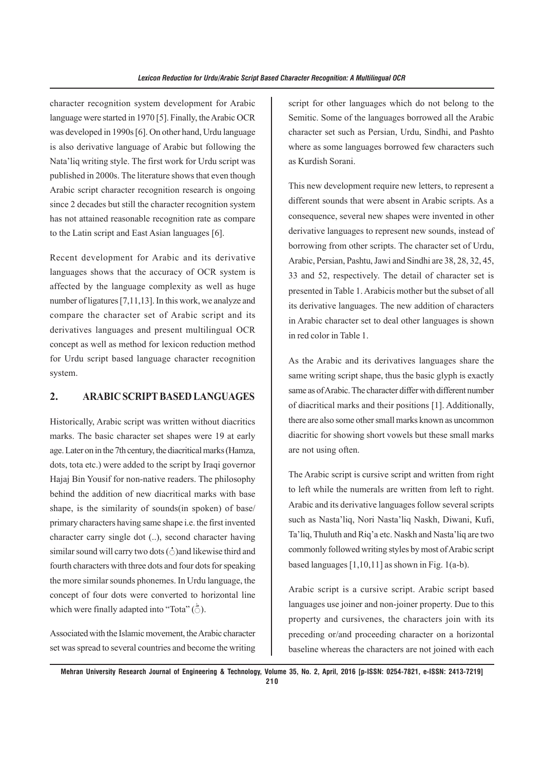character recognition system development for Arabic language were started in 1970 [5]. Finally, the Arabic OCR was developed in 1990s [6]. On other hand, Urdu language is also derivative language of Arabic but following the Nata'liq writing style. The first work for Urdu script was published in 2000s. The literature shows that even though Arabic script character recognition research is ongoing since 2 decades but still the character recognition system has not attained reasonable recognition rate as compare to the Latin script and East Asian languages [6].

Recent development for Arabic and its derivative languages shows that the accuracy of OCR system is affected by the language complexity as well as huge number of ligatures [7,11,13]. In this work, we analyze and compare the character set of Arabic script and its derivatives languages and present multilingual OCR concept as well as method for lexicon reduction method for Urdu script based language character recognition system.

## **2. ARABIC SCRIPT BASED LANGUAGES**

Historically, Arabic script was written without diacritics marks. The basic character set shapes were 19 at early age. Later on in the 7th century, the diacritical marks (Hamza, dots, tota etc.) were added to the script by Iraqi governor Hajaj Bin Yousif for non-native readers. The philosophy behind the addition of new diacritical marks with base shape, is the similarity of sounds(in spoken) of base/ primary characters having same shape i.e. the first invented character carry single dot (..), second character having similar sound will carry two dots ( $\dot{\circ}$ )and likewise third and fourth characters with three dots and four dots for speaking the more similar sounds phonemes. In Urdu language, the concept of four dots were converted to horizontal line which were finally adapted into "Tota"  $(\stackrel{\triangle}{\circ})$ .

Associated with the Islamic movement, the Arabic character set was spread to several countries and become the writing script for other languages which do not belong to the Semitic. Some of the languages borrowed all the Arabic character set such as Persian, Urdu, Sindhi, and Pashto where as some languages borrowed few characters such as Kurdish Sorani.

This new development require new letters, to represent a different sounds that were absent in Arabic scripts. As a consequence, several new shapes were invented in other derivative languages to represent new sounds, instead of borrowing from other scripts. The character set of Urdu, Arabic, Persian, Pashtu, Jawi and Sindhi are 38, 28, 32, 45, 33 and 52, respectively. The detail of character set is presented in Table 1. Arabicis mother but the subset of all its derivative languages. The new addition of characters in Arabic character set to deal other languages is shown in red color in Table 1.

As the Arabic and its derivatives languages share the same writing script shape, thus the basic glyph is exactly same as of Arabic. The character differ with different number of diacritical marks and their positions [1]. Additionally, there are also some other small marks known as uncommon diacritic for showing short vowels but these small marks are not using often.

The Arabic script is cursive script and written from right to left while the numerals are written from left to right. Arabic and its derivative languages follow several scripts such as Nasta'liq, Nori Nasta'liq Naskh, Diwani, Kufi, Ta'liq, Thuluth and Riq'a etc. Naskh and Nasta'liq are two commonly followed writing styles by most of Arabic script based languages  $[1,10,11]$  as shown in Fig. 1(a-b).

Arabic script is a cursive script. Arabic script based languages use joiner and non-joiner property. Due to this property and cursivenes, the characters join with its preceding or/and proceeding character on a horizontal baseline whereas the characters are not joined with each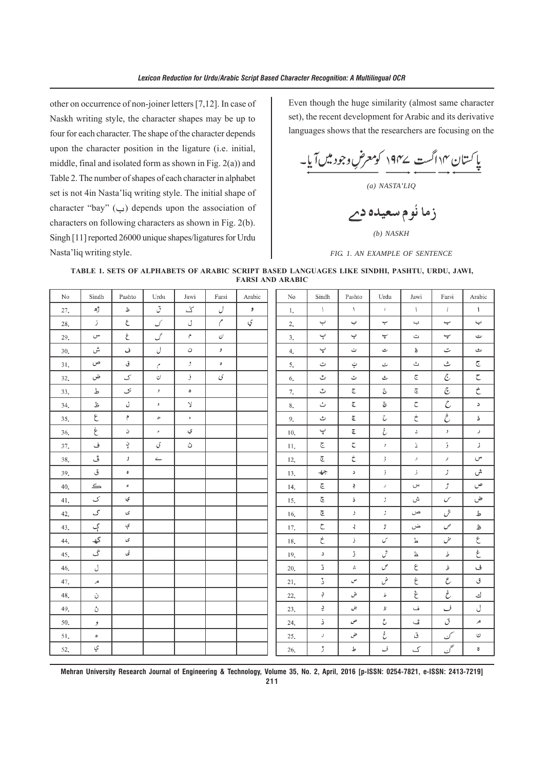other on occurrence of non-joiner letters [7,12]. In case of Naskh writing style, the character shapes may be up to four for each character. The shape of the character depends upon the character position in the ligature (i.e. initial, middle, final and isolated form as shown in Fig. 2(a)) and Table 2. The number of shapes of each character in alphabet set is not 4in Nasta'liq writing style. The initial shape of character "bay" (ب) depends upon the association of characters on following characters as shown in Fig. 2(b). Singh [11] reported 26000 unique shapes/ligatures for Urdu Nasta'liq writing style.

Even though the huge similarity (almost same character set), the recent development for Arabic and its derivative languages shows that the researchers are focusing on the

پاکستان ۱۴ اگست ۱۹۴۷ کومعرض وجود میں آیا۔<br>پاکستان ۱۴ اگست نے ۱۹۴۰

*(a) NASTA'LIQ*

زما نُوم سعيده دم

*(b) NASKH*

*FIG. 1. AN EXAMPLE OF SENTENCE*

#### **TABLE 1. SETS OF ALPHABETS OF ARABIC SCRIPT BASED LANGUAGES LIKE SINDHI, PASHTU, URDU, JAWI, FARSI AND ARABIC**

| No  | Sindh                                                                          | Pashto     | Urdu                                                                                                         | Jawi           | Farsi          | Arabic | $\rm No$ | Sindh                                                                                                                                                                                                                                                                                                                                                                                              | Pashto             | Urdu               | Jawi                             | Farsi               | Arabic                                                                                                                                                                                                                                                                                                                                                                                                                                                                                                               |
|-----|--------------------------------------------------------------------------------|------------|--------------------------------------------------------------------------------------------------------------|----------------|----------------|--------|----------|----------------------------------------------------------------------------------------------------------------------------------------------------------------------------------------------------------------------------------------------------------------------------------------------------------------------------------------------------------------------------------------------------|--------------------|--------------------|----------------------------------|---------------------|----------------------------------------------------------------------------------------------------------------------------------------------------------------------------------------------------------------------------------------------------------------------------------------------------------------------------------------------------------------------------------------------------------------------------------------------------------------------------------------------------------------------|
| 27. | ڙھ                                                                             | ظ          | اق                                                                                                           | ざ              | J              | و      | 1.       | $\mathcal{L}$                                                                                                                                                                                                                                                                                                                                                                                      | $\Lambda$          | $\mathbb{L}$       | $\left($                         | $\left  \right $    | $\mathcal{L}$                                                                                                                                                                                                                                                                                                                                                                                                                                                                                                        |
| 28. | ال                                                                             | $\epsilon$ | ک                                                                                                            | J              | $\sqrt{2}$     | ي      | 2.       | ب                                                                                                                                                                                                                                                                                                                                                                                                  | پ                  | ب                  | پ                                | پ                   | پ                                                                                                                                                                                                                                                                                                                                                                                                                                                                                                                    |
| 29. | س                                                                              | غ          | گ                                                                                                            | م              | ی              |        | 3.       | $\mathop{\smash\mathop{\smash\mathop{\scriptstyle\mathop{\scriptstyle\mathop{\scriptstyle\mathop{\scriptstyle\mathop{\scriptstyle\mathop{\scriptstyle\mathop{\scriptstyle\mathop{\scriptstyle\mathop{\scriptstyle\mathop{\scriptstyle\mathop{\scriptstyle\mathop{\scriptstyle\mathop{\scriptstyle\mathop{\scriptstyle\mathop{\scriptstyle\mathop{\scriptstyle\mathop{\cal F}}}}}}}}}}}\nolimits}}$ | پ                  | پ                  | ت                                | پ                   | ت                                                                                                                                                                                                                                                                                                                                                                                                                                                                                                                    |
| 30. | ش                                                                              | ف          | J                                                                                                            | ن              | $\bullet$      |        | 4.       | ڀ                                                                                                                                                                                                                                                                                                                                                                                                  | ت                  | ت                  | ő                                | ت                   | ٹ                                                                                                                                                                                                                                                                                                                                                                                                                                                                                                                    |
| 31. | ص                                                                              | ق          | $\mathcal{C}$                                                                                                | و              | $\pmb{\sigma}$ |        | 5.       | ت                                                                                                                                                                                                                                                                                                                                                                                                  | ټ                  | ٹ                  | ث                                | ٹ                   | $\overline{\mathbb{C}}$                                                                                                                                                                                                                                                                                                                                                                                                                                                                                              |
| 32. | ض                                                                              | ک          | $\cup$                                                                                                       | فر             | $\mathcal G$   |        | 6.       | $\overset{\hspace{0.1em}\mathit{u}}{\smile}$                                                                                                                                                                                                                                                                                                                                                       | ٹ                  | ث                  | $\overline{\mathbb{C}}$          | $\tilde{c}$         | $\subset$                                                                                                                                                                                                                                                                                                                                                                                                                                                                                                            |
| 33. | ط                                                                              | ک          | $\cdot$                                                                                                      | ۰              |                |        | 7.       | ت                                                                                                                                                                                                                                                                                                                                                                                                  | $\tilde{\epsilon}$ | ج                  | $\widetilde{\mathbb{C}}$         | $\tilde{c}$         | さ                                                                                                                                                                                                                                                                                                                                                                                                                                                                                                                    |
| 34. | ظ                                                                              | J          | $\mathfrak o$                                                                                                | $\vee$         |                |        | $8. \,$  | ٺ                                                                                                                                                                                                                                                                                                                                                                                                  | $\tilde{\epsilon}$ | چ                  | $\mathbb C$                      | $\mathcal{C}$       | $\geq$                                                                                                                                                                                                                                                                                                                                                                                                                                                                                                               |
| 35. | $\epsilon$                                                                     | م          | $\mathcal{D}% _{T}=\mathcal{D}_{T}\!\left( a,b\right) ,\mathcal{D}_{T}=\mathcal{D}_{T}\!\left( a,b\right) ,$ | $\mathfrak{s}$ |                |        | 9.       | ث                                                                                                                                                                                                                                                                                                                                                                                                  | $\tilde{\epsilon}$ | C                  | $\dot{\boldsymbol{\mathcal{C}}}$ | $\dot{\mathcal{C}}$ | ă.                                                                                                                                                                                                                                                                                                                                                                                                                                                                                                                   |
| 36. | $\dot{\boldsymbol{\xi}}$                                                       | ۵          | $\hat{\mathbf{r}}$                                                                                           | ي              |                |        | 10.      | پ                                                                                                                                                                                                                                                                                                                                                                                                  | $\tilde{\epsilon}$ | خ                  | $\Delta$                         | $\mathcal{F}$       | $\mathcal I$                                                                                                                                                                                                                                                                                                                                                                                                                                                                                                         |
| 37. | ف                                                                              | ڹ          | ی                                                                                                            | ڻ              |                |        | 11.      | ج                                                                                                                                                                                                                                                                                                                                                                                                  | $\zeta$            | $\,$               | Δ                                | $\mathbf{E}$        | J                                                                                                                                                                                                                                                                                                                                                                                                                                                                                                                    |
| 38. | ڦ                                                                              | و          | $\leftharpoonup$                                                                                             |                |                |        | 12.      | ڇ                                                                                                                                                                                                                                                                                                                                                                                                  | $\dot{\mathsf{C}}$ | $\frac{1}{2}$      | $\boldsymbol{\mathcal{I}}$       | $\,$ $\,$           | $\mathbb{C}^n$                                                                                                                                                                                                                                                                                                                                                                                                                                                                                                       |
| 39. | ق                                                                              | $\bullet$  |                                                                                                              |                |                |        | 13.      | $\div$                                                                                                                                                                                                                                                                                                                                                                                             | ۵                  | $\cdot$ $\cdot$    | Ĵ.                               | $\mathcal{I}$       | ش                                                                                                                                                                                                                                                                                                                                                                                                                                                                                                                    |
| 40. | $\lefteq$                                                                      | $\epsilon$ |                                                                                                              |                |                |        | 14.      | $\overline{\epsilon}$                                                                                                                                                                                                                                                                                                                                                                              | ÷                  | $\mathcal{J}$      | س                                | Ĵ.                  | ص                                                                                                                                                                                                                                                                                                                                                                                                                                                                                                                    |
| 41. | ک                                                                              | ي          |                                                                                                              |                |                |        | 15.      | $\mathfrak{S}$                                                                                                                                                                                                                                                                                                                                                                                     | Ď.                 | ž                  | ش                                | $\mathcal{S}$       | ض                                                                                                                                                                                                                                                                                                                                                                                                                                                                                                                    |
| 42. | گ                                                                              | ى          |                                                                                                              |                |                |        | 16.      | $\widetilde{\mathbb{G}}$                                                                                                                                                                                                                                                                                                                                                                           | J.                 | $\mathcal{I}$      | ص                                | ش                   | ط                                                                                                                                                                                                                                                                                                                                                                                                                                                                                                                    |
| 43. | ڳ                                                                              | ې          |                                                                                                              |                |                |        | 17.      | $\subset$                                                                                                                                                                                                                                                                                                                                                                                          | $\prec$            | ÷                  | ض                                | ص                   | ظ                                                                                                                                                                                                                                                                                                                                                                                                                                                                                                                    |
| 44. | $\textcolor{red}{\textcolor{blue}{\textbf{t}}}^{\textcolor{blue}{\textbf{t}}}$ | ى          |                                                                                                              |                |                |        | 18.      | $\dot{\mathsf{C}}$                                                                                                                                                                                                                                                                                                                                                                                 | Ĵ.                 | س                  | P                                | حن                  | $\epsilon$                                                                                                                                                                                                                                                                                                                                                                                                                                                                                                           |
| 45. | گ                                                                              | ئى         |                                                                                                              |                |                |        | 19.      | ۵                                                                                                                                                                                                                                                                                                                                                                                                  | ڑ                  | ش                  | 上                                | L                   | $\dot{\varepsilon}$                                                                                                                                                                                                                                                                                                                                                                                                                                                                                                  |
| 46. | J                                                                              |            |                                                                                                              |                |                |        | 20.      | 2                                                                                                                                                                                                                                                                                                                                                                                                  | Δ.                 | ص                  | $\epsilon$                       | $\rlap{/}{\dot{z}}$ | ف                                                                                                                                                                                                                                                                                                                                                                                                                                                                                                                    |
| 47. | مر                                                                             |            |                                                                                                              |                |                |        | 21.      | Ž.                                                                                                                                                                                                                                                                                                                                                                                                 | س                  | ىنى                | $\dot{\varepsilon}$              | $\mathcal E$        | ق                                                                                                                                                                                                                                                                                                                                                                                                                                                                                                                    |
| 48. | ن                                                                              |            |                                                                                                              |                |                |        | 22.      | ڊ                                                                                                                                                                                                                                                                                                                                                                                                  | ش                  | $\mathcal{P}$      | $\hat{\boldsymbol{\xi}}$         | خ                   | ك                                                                                                                                                                                                                                                                                                                                                                                                                                                                                                                    |
| 49. | ڻ                                                                              |            |                                                                                                              |                |                |        | 23.      | ÷,                                                                                                                                                                                                                                                                                                                                                                                                 | بن                 | $\, \mathbf{E} \,$ | ف                                | ف                   | J                                                                                                                                                                                                                                                                                                                                                                                                                                                                                                                    |
| 50. | و                                                                              |            |                                                                                                              |                |                |        | 24.      | Ż.                                                                                                                                                                                                                                                                                                                                                                                                 | ص                  | ع                  | ئ                                | ق                   | $\mathcal{A}% _{0}\left( t_{0}\right) \equiv\mathcal{A}_{\mathrm{C}}\left( t_{0}\right) \equiv\mathcal{A}_{\mathrm{C}}\left( t_{0}\right) \equiv\mathcal{A}_{\mathrm{C}}\left( t_{0}\right) \equiv\mathcal{A}_{\mathrm{C}}\left( t_{0}\right) \equiv\mathcal{A}_{\mathrm{C}}\left( t_{0}\right) \equiv\mathcal{A}_{\mathrm{C}}\left( t_{0}\right) \equiv\mathcal{A}_{\mathrm{C}}\left( t_{0}\right) \equiv\mathcal{A}_{\mathrm{C}}\left( t_{0}\right) \equiv\mathcal{A}_{\mathrm{C}}\left( t_{0}\right) \equiv\math$ |
| 51. | $\circ$                                                                        |            |                                                                                                              |                |                |        | 25.      | $\mathcal I$                                                                                                                                                                                                                                                                                                                                                                                       | ض                  | غ                  | ق                                | ک                   | $\mathrel{\circlearrowleft}$                                                                                                                                                                                                                                                                                                                                                                                                                                                                                         |
| 52. | ي                                                                              |            |                                                                                                              |                |                |        | 26.      | ڙ                                                                                                                                                                                                                                                                                                                                                                                                  | ط                  | ف                  | ک                                | حم                  | $\boldsymbol{\mathsf{s}}$                                                                                                                                                                                                                                                                                                                                                                                                                                                                                            |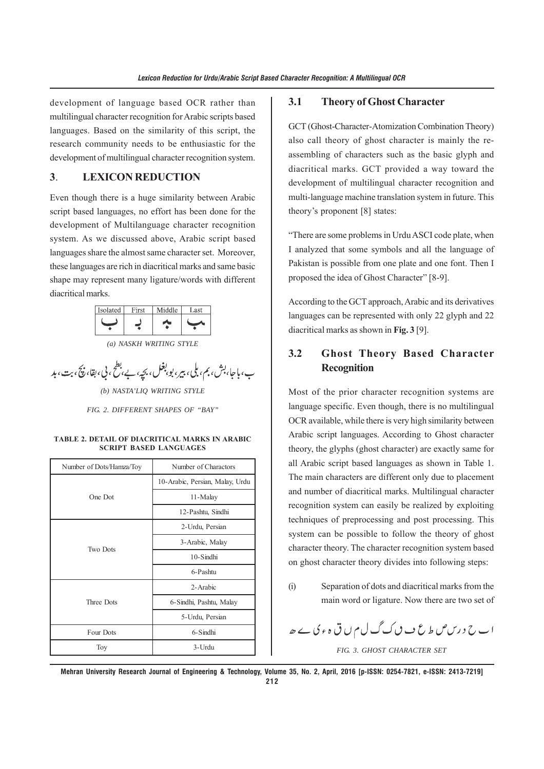development of language based OCR rather than multilingual character recognition for Arabic scripts based languages. Based on the similarity of this script, the research community needs to be enthusiastic for the development of multilingual character recognition system.

## **3**. **LEXICON REDUCTION**

Even though there is a huge similarity between Arabic script based languages, no effort has been done for the development of Multilanguage character recognition system. As we discussed above, Arabic script based languages share the almost same character set. Moreover, these languages are rich in diacritical marks and same basic shape may represent many ligature/words with different diacritical marks.

| Isolated | First | Middle | Last |  |
|----------|-------|--------|------|--|
|          |       |        |      |  |
|          |       |        |      |  |

*(a) NASKH WRITING STYLE*

ب، باجا، بش، بم، بلی، بیر، بو، بغل، بچهِ، بے، بطح، بی، بقا، بیچَ، بت، بد

*(b) NASTA'LIQ WRITING STYLE*

*FIG. 2. DIFFERENT SHAPES OF "BAY"*

#### **TABLE 2. DETAIL OF DIACRITICAL MARKS IN ARABIC SCRIPT BASED LANGUAGES**

| Number of Dots/Hamza/Toy | Number of Charactors            |  |  |
|--------------------------|---------------------------------|--|--|
|                          | 10-Arabic, Persian, Malay, Urdu |  |  |
| One Dot                  | 11-Malay                        |  |  |
|                          | 12-Pashtu, Sindhi               |  |  |
|                          | 2-Urdu, Persian                 |  |  |
| <b>Two Dots</b>          | 3-Arabic, Malay                 |  |  |
|                          | $10$ -Sindhi                    |  |  |
|                          | 6-Pashtu                        |  |  |
|                          | 2-Arabic                        |  |  |
| Three Dots               | 6-Sindhi, Pashtu, Malay         |  |  |
|                          | 5-Urdu, Persian                 |  |  |
| Four Dots                | 6-Sindhi                        |  |  |
| Toy                      | 3-Urdu                          |  |  |

#### **3.1 Theory of Ghost Character**

GCT (Ghost-Character-Atomization Combination Theory) also call theory of ghost character is mainly the reassembling of characters such as the basic glyph and diacritical marks. GCT provided a way toward the development of multilingual character recognition and multi-language machine translation system in future. This theory's proponent [8] states:

"There are some problems in Urdu ASCI code plate, when I analyzed that some symbols and all the language of Pakistan is possible from one plate and one font. Then I proposed the idea of Ghost Character" [8-9].

According to the GCT approach, Arabic and its derivatives languages can be represented with only 22 glyph and 22 diacritical marks as shown in **Fig. 3** [9].

# **3.2 Ghost Theory Based Character Recognition**

Most of the prior character recognition systems are language specific. Even though, there is no multilingual OCR available, while there is very high similarity between Arabic script languages. According to Ghost character theory, the glyphs (ghost character) are exactly same for all Arabic script based languages as shown in Table 1. The main characters are different only due to placement and number of diacritical marks. Multilingual character recognition system can easily be realized by exploiting techniques of preprocessing and post processing. This system can be possible to follow the theory of ghost character theory. The character recognition system based on ghost character theory divides into following steps:

(i) Separation of dots and diacritical marks from the main word or ligature. Now there are two set of

اب ح درس ص ط ع ب ن ک گ ل م ں ق ہء کی سے ھ *FIG. 3. GHOST CHARACTER SET*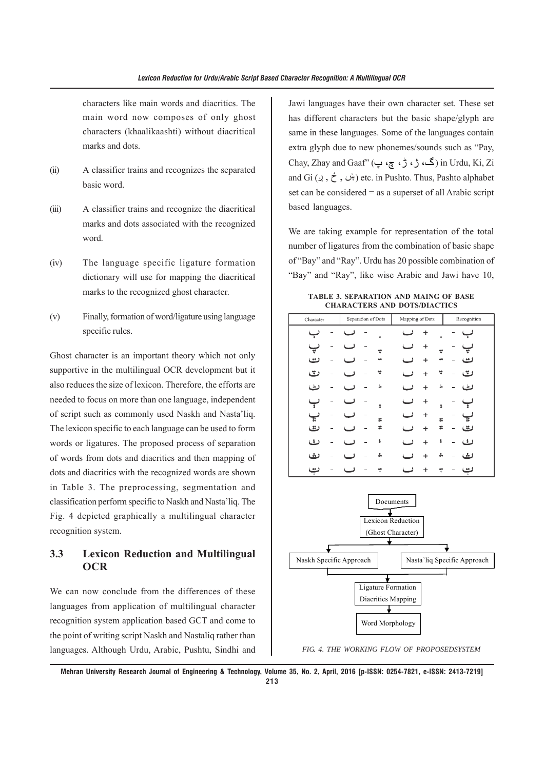characters like main words and diacritics. The main word now composes of only ghost characters (khaalikaashti) without diacritical marks and dots.

- (ii) A classifier trains and recognizes the separated basic word.
- (iii) A classifier trains and recognize the diacritical marks and dots associated with the recognized word.
- (iv) The language specific ligature formation dictionary will use for mapping the diacritical marks to the recognized ghost character.
- (v) Finally, formation of word/ligature using language specific rules.

Ghost character is an important theory which not only supportive in the multilingual OCR development but it also reduces the size of lexicon. Therefore, the efforts are needed to focus on more than one language, independent of script such as commonly used Naskh and Nasta'liq. The lexicon specific to each language can be used to form words or ligatures. The proposed process of separation of words from dots and diacritics and then mapping of dots and diacritics with the recognized words are shown in Table 3. The preprocessing, segmentation and classification perform specific to Naskh and Nasta'liq. The Fig. 4 depicted graphically a multilingual character recognition system.

## **3.3 Lexicon Reduction and Multilingual OCR**

We can now conclude from the differences of these languages from application of multilingual character recognition system application based GCT and come to the point of writing script Naskh and Nastaliq rather than languages. Although Urdu, Arabic, Pushtu, Sindhi and

Jawi languages have their own character set. These set has different characters but the basic shape/glyph are same in these languages. Some of the languages contain extra glyph due to new phonemes/sounds such as "Pay, Chay, Zhay and Gaaf" (پ ،چ ،ڑ ،ژ ،گ (in Urdu, Ki, Zi and Gi (ږ , ځ , ښ (etc. in Pushto. Thus, Pashto alphabet set can be considered  $=$  as a superset of all Arabic script based languages.

We are taking example for representation of the total number of ligatures from the combination of basic shape of "Bay" and "Ray". Urdu has 20 possible combination of "Bay" and "Ray", like wise Arabic and Jawi have 10,

**TABLE 3. SEPARATION AND MAING OF BASE CHARACTERS AND DOTS/DIACTICS**

|           |                    |                 | $\sim$<br>$\sim$ |  |  |
|-----------|--------------------|-----------------|------------------|--|--|
| Character | Separation of Dots | Mapping of Dots | Recognition      |  |  |
|           |                    | ÷               |                  |  |  |
|           |                    | +               |                  |  |  |
| ت         |                    | +               | ≝                |  |  |
| ت         | 향                  | *<br>$\ddot{}$  | ٽ                |  |  |
| ك         | ط                  | Ъ<br>$\ddot{}$  | كت<br>-          |  |  |
| ₹         | \$                 | +<br>$\ddagger$ |                  |  |  |
| ڀ<br>ت    | ×                  | $\ddot{}$<br>u  |                  |  |  |
|           | ×                  | u<br>÷          | ت                |  |  |
| ت         | t                  | \$<br>+         | ٹ                |  |  |
| ٹ         | å                  | ፌ<br>٠          | ىت               |  |  |
| ÷         |                    | +               |                  |  |  |
|           |                    |                 |                  |  |  |
|           |                    | Documents       |                  |  |  |
|           |                    |                 |                  |  |  |



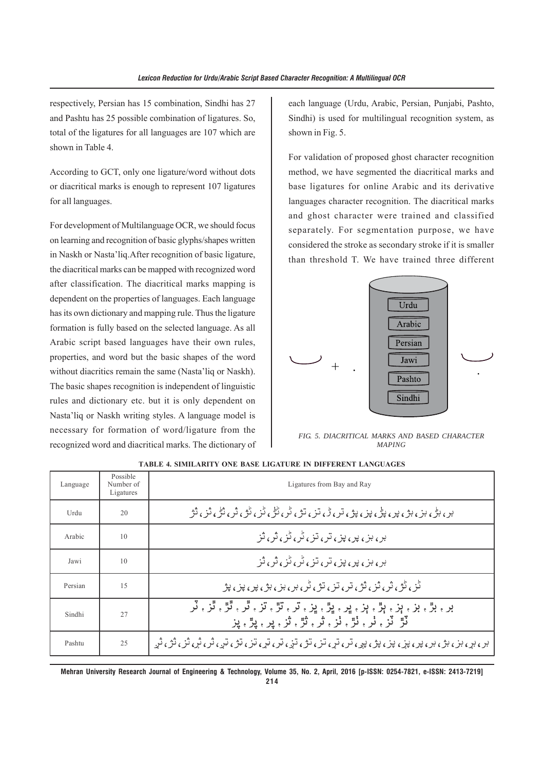respectively, Persian has 15 combination, Sindhi has 27 and Pashtu has 25 possible combination of ligatures. So, total of the ligatures for all languages are 107 which are shown in Table 4.

According to GCT, only one ligature/word without dots or diacritical marks is enough to represent 107 ligatures for all languages.

For development of Multilanguage OCR, we should focus on learning and recognition of basic glyphs/shapes written in Naskh or Nasta'liq.After recognition of basic ligature, the diacritical marks can be mapped with recognized word after classification. The diacritical marks mapping is dependent on the properties of languages. Each language has its own dictionary and mapping rule. Thus the ligature formation is fully based on the selected language. As all Arabic script based languages have their own rules, properties, and word but the basic shapes of the word without diacritics remain the same (Nasta'liq or Naskh). The basic shapes recognition is independent of linguistic rules and dictionary etc. but it is only dependent on Nasta'liq or Naskh writing styles. A language model is necessary for formation of word/ligature from the recognized word and diacritical marks. The dictionary of each language (Urdu, Arabic, Persian, Punjabi, Pashto, Sindhi) is used for multilingual recognition system, as shown in Fig. 5.

For validation of proposed ghost character recognition method, we have segmented the diacritical marks and base ligatures for online Arabic and its derivative languages character recognition. The diacritical marks and ghost character were trained and classified separately. For segmentation purpose, we have considered the stroke as secondary stroke if it is smaller than threshold T. We have trained three different



*FIG. 5. DIACRITICAL MARKS AND BASED CHARACTER MAPING*

| Language | Possible<br>Number of<br>Ligatures | Ligatures from Bay and Ray                                                                                        |
|----------|------------------------------------|-------------------------------------------------------------------------------------------------------------------|
| Urdu     | 20                                 | بر ۽ ٻڻي ٻن ۽ ٻن ۽ پڻ ۽ پڻ ۽ پن ۽ پڻ ۽ ٿن ۽ ٿن ٿن گڻ ۽ ٿن ۽ ٿڻ ۽ ٿن ۽ ٿن ۽ ٿن                                     |
| Arabic   | 10                                 | بر ۽ ٻن ۽ پير ۽ پتن ۽ تن ۽ ٿن پڻ ۽ ٿن                                                                             |
| Jawi     | 10                                 | بر ۽ ٻن ۽ پير ۽ پيز ۽ ٻتر ۽ پڻ کڻ ۽ ٿر ۽ ٿز                                                                       |
| Persian  | 15                                 | ڭن كۆن ش ش ش تر ، تن ، تۇ ، گر ، بر ، بن ، بۇ ، بير ، بين ، بۇ                                                    |
| Sindhi   | 27                                 | بر ۽ بڙ ۽ بز ۽ ٻڙ ۽ ٻڙ ۽ ڀر ۽ ڀڙ ۽ پڙ ۽ تڙ ۽ ٿڙ ۽ ٿڙ ۽ ٿَر ۽ ٽُر<br>ٽڙ ٽز ۽ ٺر ۽ ٺڙ ۽ ثر ۽ ٿڙ ۽ ٿر ۽ پر ۽ پڙ ۽ پز |
| Pashtu   | 25                                 |                                                                                                                   |

**TABLE 4. SIMILARITY ONE BASE LIGATURE IN DIFFERENT LANGUAGES**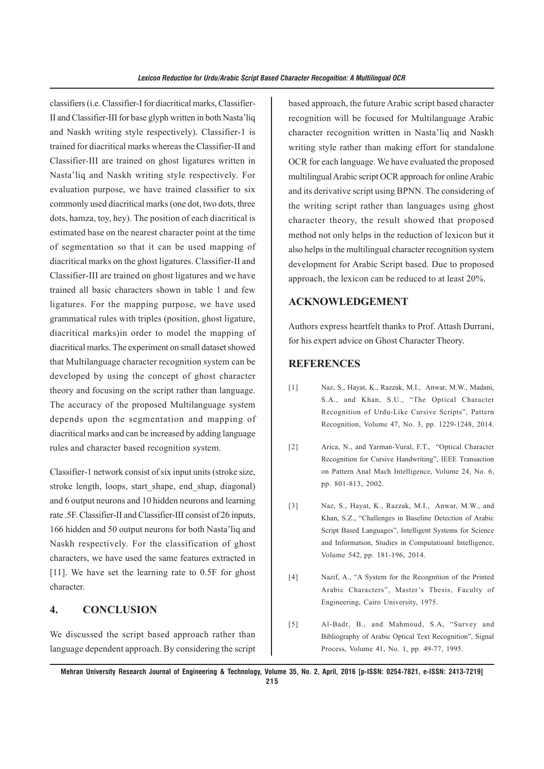classifiers (i.e. Classifier-I for diacritical marks, Classifier-II and Classifier-III for base glyph written in both Nasta'liq and Naskh writing style respectively). Classifier-1 is trained for diacritical marks whereas the Classifier-II and Classifier-III are trained on ghost ligatures written in Nasta'liq and Naskh writing style respectively. For evaluation purpose, we have trained classifier to six commonly used diacritical marks (one dot, two dots, three dots, hamza, toy, hey). The position of each diacritical is estimated base on the nearest character point at the time of segmentation so that it can be used mapping of diacritical marks on the ghost ligatures. Classifier-II and Classifier-III are trained on ghost ligatures and we have trained all basic characters shown in table 1 and few ligatures. For the mapping purpose, we have used grammatical rules with triples (position, ghost ligature, diacritical marks)in order to model the mapping of diacritical marks. The experiment on small dataset showed that Multilanguage character recognition system can be developed by using the concept of ghost character theory and focusing on the script rather than language. The accuracy of the proposed Multilanguage system depends upon the segmentation and mapping of diacritical marks and can be increased by adding language rules and character based recognition system.

Classifier-1 network consist of six input units (stroke size, stroke length, loops, start\_shape, end\_shap, diagonal) and 6 output neurons and 10 hidden neurons and learning rate .5F. Classifier-II and Classifier-III consist of 26 inputs, 166 hidden and 50 output neurons for both Nasta'liq and Naskh respectively. For the classification of ghost characters, we have used the same features extracted in [11]. We have set the learning rate to 0.5F for ghost character.

## **4. CONCLUSION**

We discussed the script based approach rather than language dependent approach. By considering the script based approach, the future Arabic script based character recognition will be focused for Multilanguage Arabic character recognition written in Nasta'liq and Naskh writing style rather than making effort for standalone OCR for each language. We have evaluated the proposed multilingual Arabic script OCR approach for online Arabic and its derivative script using BPNN. The considering of the writing script rather than languages using ghost character theory, the result showed that proposed method not only helps in the reduction of lexicon but it also helps in the multilingual character recognition system development for Arabic Script based. Due to proposed approach, the lexicon can be reduced to at least 20%.

#### **ACKNOWLEDGEMENT**

Authors express heartfelt thanks to Prof. Attash Durrani, for his expert advice on Ghost Character Theory.

#### **REFERENCES**

- [1] Naz, S., Hayat, K., Razzak, M.I., Anwar, M.W., Madani, S.A., and Khan, S.U., "The Optical Character Recognition of Urdu-Like Cursive Scripts", Pattern Recognition, Volume 47, No. 3, pp. 1229-1248, 2014.
- [2] Arica, N., and Yarman-Vural, F.T., "Optical Character Recognition for Cursive Handwriting", IEEE Transaction on Pattern Anal Mach Intelligence, Volume 24, No. 6, pp. 801-813, 2002.
- [3] Naz, S., Hayat, K., Razzak, M.I., Anwar, M.W., and Khan, S.Z., "Challenges in Baseline Detection of Arabic Script Based Languages", Intelligent Systems for Science and Information, Studies in Computatioanl Intelligence, Volume 542, pp. 181-196, 2014.
- [4] Nazif, A., "A System for the Recognition of the Printed Arabic Characters", Master's Thesis, Faculty of Engineering, Cairo University, 1975.
- [5] Al-Badr, B., and Mahmoud, S.A, "Survey and Bibliography of Arabic Optical Text Recognition", Signal Process, Volume 41, No. 1, pp. 49-77, 1995.